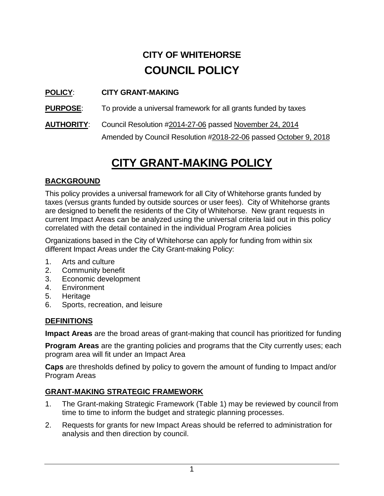# **CITY OF WHITEHORSE COUNCIL POLICY**

#### **POLICY**: **CITY GRANT-MAKING**

**PURPOSE:** To provide a universal framework for all grants funded by taxes

**AUTHORITY**: Council Resolution #2014-27-06 passed November 24, 2014 Amended by Council Resolution #2018-22-06 passed October 9, 2018

## **CITY GRANT-MAKING POLICY**

#### **BACKGROUND**

This policy provides a universal framework for all City of Whitehorse grants funded by taxes (versus grants funded by outside sources or user fees). City of Whitehorse grants are designed to benefit the residents of the City of Whitehorse. New grant requests in current Impact Areas can be analyzed using the universal criteria laid out in this policy correlated with the detail contained in the individual Program Area policies

Organizations based in the City of Whitehorse can apply for funding from within six different Impact Areas under the City Grant-making Policy:

- 1. Arts and culture
- 2. Community benefit
- 3. Economic development
- 4. Environment
- 5. Heritage
- 6. Sports, recreation, and leisure

#### **DEFINITIONS**

**Impact Areas** are the broad areas of grant-making that council has prioritized for funding

**Program Areas** are the granting policies and programs that the City currently uses; each program area will fit under an Impact Area

**Caps** are thresholds defined by policy to govern the amount of funding to Impact and/or Program Areas

#### **GRANT-MAKING STRATEGIC FRAMEWORK**

- 1. The Grant-making Strategic Framework (Table 1) may be reviewed by council from time to time to inform the budget and strategic planning processes.
- 2. Requests for grants for new Impact Areas should be referred to administration for analysis and then direction by council.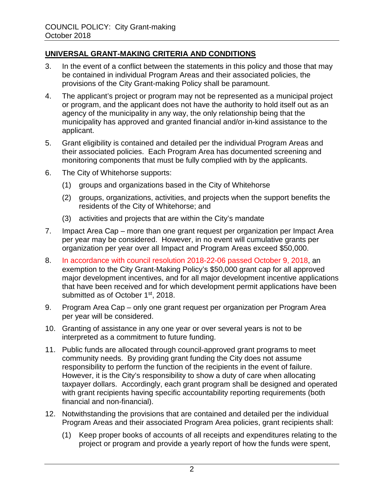#### **UNIVERSAL GRANT-MAKING CRITERIA AND CONDITIONS**

- 3. In the event of a conflict between the statements in this policy and those that may be contained in individual Program Areas and their associated policies, the provisions of the City Grant-making Policy shall be paramount.
- 4. The applicant's project or program may not be represented as a municipal project or program, and the applicant does not have the authority to hold itself out as an agency of the municipality in any way, the only relationship being that the municipality has approved and granted financial and/or in-kind assistance to the applicant.
- 5. Grant eligibility is contained and detailed per the individual Program Areas and their associated policies. Each Program Area has documented screening and monitoring components that must be fully complied with by the applicants.
- 6. The City of Whitehorse supports:
	- (1) groups and organizations based in the City of Whitehorse
	- (2) groups, organizations, activities, and projects when the support benefits the residents of the City of Whitehorse; and
	- (3) activities and projects that are within the City's mandate
- 7. Impact Area Cap more than one grant request per organization per Impact Area per year may be considered. However, in no event will cumulative grants per organization per year over all Impact and Program Areas exceed \$50,000.
- 8. In accordance with council resolution 2018-22-06 passed October 9, 2018, an exemption to the City Grant-Making Policy's \$50,000 grant cap for all approved major development incentives, and for all major development incentive applications that have been received and for which development permit applications have been submitted as of October 1<sup>st</sup>, 2018.
- 9. Program Area Cap only one grant request per organization per Program Area per year will be considered.
- 10. Granting of assistance in any one year or over several years is not to be interpreted as a commitment to future funding.
- 11. Public funds are allocated through council-approved grant programs to meet community needs. By providing grant funding the City does not assume responsibility to perform the function of the recipients in the event of failure. However, it is the City's responsibility to show a duty of care when allocating taxpayer dollars. Accordingly, each grant program shall be designed and operated with grant recipients having specific accountability reporting requirements (both financial and non-financial).
- 12. Notwithstanding the provisions that are contained and detailed per the individual Program Areas and their associated Program Area policies, grant recipients shall:
	- (1) Keep proper books of accounts of all receipts and expenditures relating to the project or program and provide a yearly report of how the funds were spent,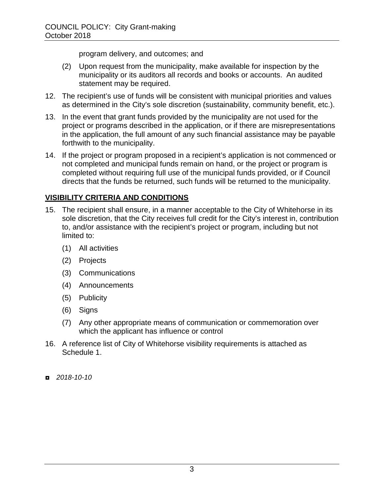program delivery, and outcomes; and

- (2) Upon request from the municipality, make available for inspection by the municipality or its auditors all records and books or accounts. An audited statement may be required.
- 12. The recipient's use of funds will be consistent with municipal priorities and values as determined in the City's sole discretion (sustainability, community benefit, etc.).
- 13. In the event that grant funds provided by the municipality are not used for the project or programs described in the application, or if there are misrepresentations in the application, the full amount of any such financial assistance may be payable forthwith to the municipality.
- 14. If the project or program proposed in a recipient's application is not commenced or not completed and municipal funds remain on hand, or the project or program is completed without requiring full use of the municipal funds provided, or if Council directs that the funds be returned, such funds will be returned to the municipality.

#### **VISIBILITY CRITERIA AND CONDITIONS**

- 15. The recipient shall ensure, in a manner acceptable to the City of Whitehorse in its sole discretion, that the City receives full credit for the City's interest in, contribution to, and/or assistance with the recipient's project or program, including but not limited to:
	- (1) All activities
	- (2) Projects
	- (3) Communications
	- (4) Announcements
	- (5) Publicity
	- (6) Signs
	- (7) Any other appropriate means of communication or commemoration over which the applicant has influence or control
- 16. A reference list of City of Whitehorse visibility requirements is attached as Schedule 1.
- ◘ *2018-10-10*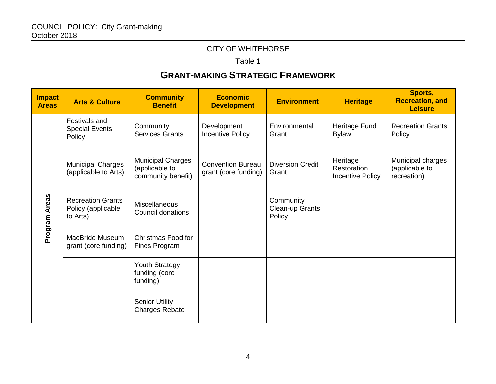#### CITY OF WHITEHORSE

Table 1

## **GRANT-MAKING STRATEGIC FRAMEWORK**

| <b>Impact</b><br><b>Areas</b> | <b>Arts &amp; Culture</b>                                  | <b>Community</b><br><b>Benefit</b>                               | <b>Economic</b><br><b>Development</b>            | <b>Environment</b>                     | <b>Heritage</b>                             | Sports,<br><b>Recreation, and</b><br><b>Leisure</b> |
|-------------------------------|------------------------------------------------------------|------------------------------------------------------------------|--------------------------------------------------|----------------------------------------|---------------------------------------------|-----------------------------------------------------|
| Program Areas                 | Festivals and<br><b>Special Events</b><br>Policy           | Community<br><b>Services Grants</b>                              | Development<br><b>Incentive Policy</b>           | Environmental<br>Grant                 | Heritage Fund<br><b>Bylaw</b>               | <b>Recreation Grants</b><br>Policy                  |
|                               | <b>Municipal Charges</b><br>(applicable to Arts)           | <b>Municipal Charges</b><br>(applicable to<br>community benefit) | <b>Convention Bureau</b><br>grant (core funding) | <b>Diversion Credit</b><br>Grant       | Heritage<br>Restoration<br>Incentive Policy | Municipal charges<br>(applicable to<br>recreation)  |
|                               | <b>Recreation Grants</b><br>Policy (applicable<br>to Arts) | <b>Miscellaneous</b><br><b>Council donations</b>                 |                                                  | Community<br>Clean-up Grants<br>Policy |                                             |                                                     |
|                               | MacBride Museum<br>grant (core funding)                    | Christmas Food for<br>Fines Program                              |                                                  |                                        |                                             |                                                     |
|                               |                                                            | <b>Youth Strategy</b><br>funding (core<br>funding)               |                                                  |                                        |                                             |                                                     |
|                               |                                                            | <b>Senior Utility</b><br><b>Charges Rebate</b>                   |                                                  |                                        |                                             |                                                     |